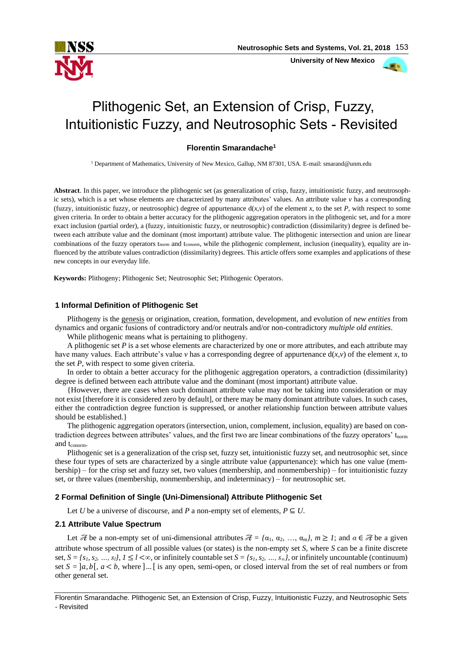

 **University of New Mexico**

# Plithogenic Set, an Extension of Crisp, Fuzzy, Intuitionistic Fuzzy, and Neutrosophic Sets - Revisited

## **Florentin Smarandache<sup>1</sup>**

<sup>1</sup> Department of Mathematics, University of New Mexico, Gallup, NM 87301, USA. E-mail: smarand@unm.edu

**Abstract**. In this paper, we introduce the plithogenic set (as generalization of crisp, fuzzy, intuitionistic fuzzy, and neutrosophic sets), which is a set whose elements are characterized by many attributes' values. An attribute value  $\nu$  has a corresponding (fuzzy, intuitionistic fuzzy, or neutrosophic) degree of appurtenance  $d(x, y)$  of the element *x*, to the set *P*, with respect to some given criteria. In order to obtain a better accuracy for the plithogenic aggregation operators in the plithogenic set, and for a more exact inclusion (partial order), a (fuzzy, intuitionistic fuzzy, or neutrosophic) contradiction (dissimilarity) degree is defined between each attribute value and the dominant (most important) attribute value. The plithogenic intersection and union are linear combinations of the fuzzy operators t<sub>norm</sub> and t<sub>conorm</sub>, while the plithogenic complement, inclusion (inequality), equality are influenced by the attribute values contradiction (dissimilarity) degrees. This article offers some examples and applications of these new concepts in our everyday life.

**Keywords:** Plithogeny; Plithogenic Set; Neutrosophic Set; Plithogenic Operators.

## **1 Informal Definition of Plithogenic Set**

Plithogeny is the genesis or origination, creation, formation, development, and evolution of *new entities* from dynamics and organic fusions of contradictory and/or neutrals and/or non-contradictory *multiple old entities*.

While plithogenic means what is pertaining to plithogeny.

A plithogenic set *P* is a set whose elements are characterized by one or more attributes, and each attribute may have many values. Each attribute's value  $\nu$  has a corresponding degree of appurtenance  $d(x, v)$  of the element *x*, to the set *P*, with respect to some given criteria.

In order to obtain a better accuracy for the plithogenic aggregation operators, a contradiction (dissimilarity) degree is defined between each attribute value and the dominant (most important) attribute value.

{However, there are cases when such dominant attribute value may not be taking into consideration or may not exist [therefore it is considered zero by default], or there may be many dominant attribute values. In such cases, either the contradiction degree function is suppressed, or another relationship function between attribute values should be established.}

The plithogenic aggregation operators (intersection, union, complement, inclusion, equality) are based on contradiction degrees between attributes' values, and the first two are linear combinations of the fuzzy operators'  $t_{\text{norm}}$ and t<sub>conorm</sub>.

Plithogenic set is a generalization of the crisp set, fuzzy set, intuitionistic fuzzy set, and neutrosophic set, since these four types of sets are characterized by a single attribute value (appurtenance): which has one value (membership) – for the crisp set and fuzzy set, two values (membership, and nonmembership) – for intuitionistic fuzzy set, or three values (membership, nonmembership, and indeterminacy) – for neutrosophic set.

## **2 Formal Definition of Single (Uni-Dimensional) Attribute Plithogenic Set**

Let *U* be a universe of discourse, and *P* a non-empty set of elements,  $P \subseteq U$ .

## **2.1 Attribute Value Spectrum**

Let  $\mathcal{H}$  be a non-empty set of uni-dimensional attributes  $\mathcal{H} = {\alpha_1, \alpha_2, ..., \alpha_m}$ ,  $m \geq 1$ ; and  $\alpha \in \mathcal{H}$  be a given attribute whose spectrum of all possible values (or states) is the non-empty set *S*, where *S* can be a finite discrete set,  $S = \{s_1, s_2, ..., s_l\}$ ,  $1 \le l < \infty$ , or infinitely countable set  $S = \{s_1, s_2, ..., s_\infty\}$ , or infinitely uncountable (continuum) set  $S = [a, b]$ ,  $a < b$ , where ]... [ is any open, semi-open, or closed interval from the set of real numbers or from other general set.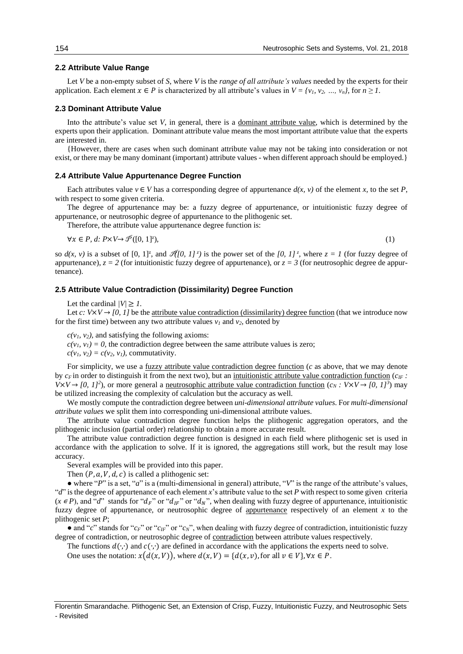## **2.2 Attribute Value Range**

Let *V* be a non-empty subset of *S*, where *V* is the *range of all attribute's values* needed by the experts for their application. Each element  $x \in P$  is characterized by all attribute's values in  $V = \{v_1, v_2, ..., v_n\}$ , for  $n \ge 1$ .

#### **2.3 Dominant Attribute Value**

Into the attribute's value set *V*, in general, there is a dominant attribute value, which is determined by the experts upon their application. Dominant attribute value means the most important attribute value that the experts are interested in.

{However, there are cases when such dominant attribute value may not be taking into consideration or not exist, or there may be many dominant (important) attribute values - when different approach should be employed.}

#### **2.4 Attribute Value Appurtenance Degree Function**

Each attributes value  $v \in V$  has a corresponding degree of appurtenance  $d(x, v)$  of the element *x*, to the set *P*, with respect to some given criteria.

The degree of appurtenance may be: a fuzzy degree of appurtenance, or intuitionistic fuzzy degree of appurtenance, or neutrosophic degree of appurtenance to the plithogenic set.

Therefore, the attribute value appurtenance degree function is:

 $\forall x \in P$ , d:  $P \times V \rightarrow \mathcal{P}([0, 1]^z)$ ,

 $),$  (1)

so  $d(x, y)$  is a subset of  $[0, 1]^z$ , and  $\mathcal{H}[0, 1]^z$  is the power set of the  $[0, 1]^z$ , where  $z = 1$  (for fuzzy degree of appurtenance),  $z = 2$  (for intuitionistic fuzzy degree of appurtenance), or  $z = 3$  (for neutrosophic degree de appurtenance).

#### **2.5 Attribute Value Contradiction (Dissimilarity) Degree Function**

Let the cardinal  $/V \geq 1$ .

Let *c*:  $V \times V \rightarrow [0, 1]$  be the <u>attribute value contradiction (dissimilarity) degree function</u> (that we introduce now for the first time) between any two attribute values  $v_1$  and  $v_2$ , denoted by

 $c(v_1, v_2)$ , and satisfying the following axioms:

 $c(v_1, v_1) = 0$ , the contradiction degree between the same attribute values is zero;

 $c(v_1, v_2) = c(v_2, v_1)$ , commutativity.

For simplicity, we use a <u>fuzzy</u> attribute value contradiction degree function (*c* as above, that we may denote by  $c_F$  in order to distinguish it from the next two), but an intuitionistic attribute value contradiction function  $(c_{IF}$ :  $V \times V \rightarrow [0, 1]^2$ , or more general a <u>neutrosophic attribute value contradiction function</u>  $(c_N : V \times V \rightarrow [0, 1]^3)$  may be utilized increasing the complexity of calculation but the accuracy as well.

We mostly compute the contradiction degree between *uni-dimensional attribute values*. For *multi-dimensional attribute values* we split them into corresponding uni-dimensional attribute values.

The attribute value contradiction degree function helps the plithogenic aggregation operators, and the plithogenic inclusion (partial order) relationship to obtain a more accurate result.

The attribute value contradiction degree function is designed in each field where plithogenic set is used in accordance with the application to solve. If it is ignored, the aggregations still work, but the result may lose accuracy.

Several examples will be provided into this paper.

Then  $(P, a, V, d, c)$  is called a plithogenic set:

 $\bullet$  where "*P*" is a set, "*a*" is a (multi-dimensional in general) attribute, "*V*" is the range of the attribute's values, " $d$ " is the degree of appurtenance of each element *x*'s attribute value to the set *P* with respect to some given criteria  $(x \in P)$ , and "*d*" stands for " $d_F$ " or " $d_{IF}$ " or " $d_N$ ", when dealing with fuzzy degree of appurtenance, intuitionistic fuzzy degree of appurtenance, or neutrosophic degree of appurtenance respectively of an element *x* to the plithogenic set *P*;

● and "*c*" stands for "*c<sub>F</sub>*" or "*c<sub>IF</sub>*" or "*c<sub>N</sub>*", when dealing with fuzzy degree of contradiction, intuitionistic fuzzy degree of contradiction, or neutrosophic degree of contradiction between attribute values respectively.

The functions  $d(\cdot, \cdot)$  and  $c(\cdot, \cdot)$  are defined in accordance with the applications the experts need to solve.

One uses the notation:  $x(d(x, V))$ , where  $d(x, V) = {d(x, v)}$ , for all  $v \in V$ ,  $\forall x \in P$ .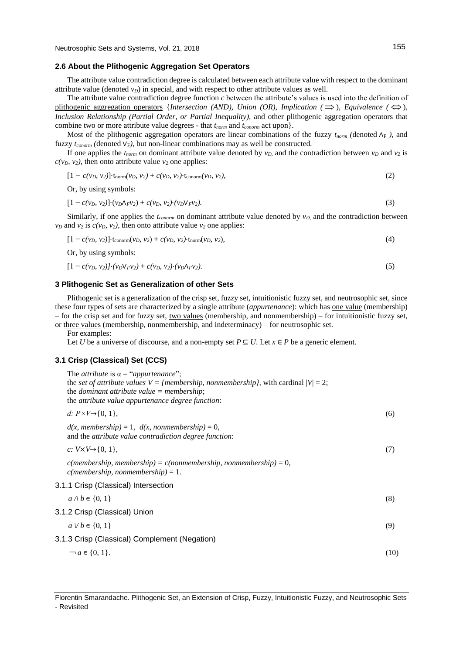## **2.6 About the Plithogenic Aggregation Set Operators**

The attribute value contradiction degree is calculated between each attribute value with respect to the dominant attribute value (denoted  $v<sub>D</sub>$ ) in special, and with respect to other attribute values as well.

The attribute value contradiction degree function *c* between the attribute's values is used into the definition of plithogenic aggregation operators {*Intersection (AND), Union (OR), Implication (* $\implies$ *), Equivalence (* $\Leftrightarrow$ *), Inclusion Relationship (Partial Order, or Partial Inequality),* and other plithogenic aggregation operators that combine two or more attribute value degrees - that *tnorm* and *tconorm* act upon}.

Most of the plithogenic aggregation operators are linear combinations of the fuzzy  $t_{norm}$  (denoted  $\Lambda_F$ ), and fuzzy  $t_{conorm}$  (denoted  $V_F$ ), but non-linear combinations may as well be constructed.

If one applies the  $t_{norm}$  on dominant attribute value denoted by  $v_D$ , and the contradiction between  $v_D$  and  $v_2$  is  $c(v_0, v_2)$ , then onto attribute value  $v_2$  one applies:

$$
[1 - c(v_D, v_2)] \cdot t_{\text{norm}}(v_D, v_2) + c(v_D, v_2) \cdot t_{\text{conorm}}(v_D, v_2), \tag{2}
$$

Or, by using symbols:

$$
[1 - c(v_D, v_2)] \cdot (v_D \Lambda_F v_2) + c(v_D, v_2) \cdot (v_D \Lambda_F v_2). \tag{3}
$$

Similarly, if one applies the *tconorm* on dominant attribute value denoted by *vD,* and the contradiction between  $v<sub>D</sub>$  and  $v<sub>2</sub>$  is  $c(v<sub>D</sub>, v<sub>2</sub>)$ , then onto attribute value  $v<sub>2</sub>$  one applies:

$$
[1 - c(v_D, v_2)] \cdot t_{\text{conorm}}(v_D, v_2) + c(v_D, v_2) \cdot t_{\text{norm}}(v_D, v_2), \tag{4}
$$

Or, by using symbols:

$$
[1 - c(v_D, v_2)] \cdot (v_D V_F v_2) + c(v_D, v_2) \cdot (v_D \Lambda_F v_2). \tag{5}
$$

## **3 Plithogenic Set as Generalization of other Sets**

Plithogenic set is a generalization of the crisp set, fuzzy set, intuitionistic fuzzy set, and neutrosophic set, since these four types of sets are characterized by a single attribute (*appurtenance*): which has one value (membership) – for the crisp set and for fuzzy set, two values (membership, and nonmembership) – for intuitionistic fuzzy set, or three values (membership, nonmembership, and indeterminacy) – for neutrosophic set.

For examples:

Let *U* be a universe of discourse, and a non-empty set  $P \subseteq U$ . Let  $x \in P$  be a generic element.

#### **3.1 Crisp (Classical) Set (CCS)**

The *attribute* is  $\alpha$  = "*appurtenance*"; the *set of attribute values*  $V = \{membership, nonmembership, with cardinal  $|V| = 2;$$ the *dominant attribute value = membership*; the *attribute value appurtenance degree function*: *d:*  $P \times V \to \{0, 1\}$ , (6)

 $d(x,$  membership) = 1,  $d(x,$  nonmembership) = 0, and the *attribute value contradiction degree function*:

 $c: V \times V \to \{0, 1\},$  (7)

*c(membership, membership) = c(nonmembership, nonmembership)* = 0, *c(membership, nonmembership)* = 1.

3.1.1 Crisp (Classical) Intersection

| $a \wedge b \in \{0, 1\}$                     | (8)  |
|-----------------------------------------------|------|
| 3.1.2 Crisp (Classical) Union                 |      |
| $a \vee b \in \{0, 1\}$                       | (9)  |
| 3.1.3 Crisp (Classical) Complement (Negation) |      |
| $\neg a \in \{0, 1\}.$                        | (10) |

Florentin Smarandache. Plithogenic Set, an Extension of Crisp, Fuzzy, Intuitionistic Fuzzy, and Neutrosophic Sets - Revisited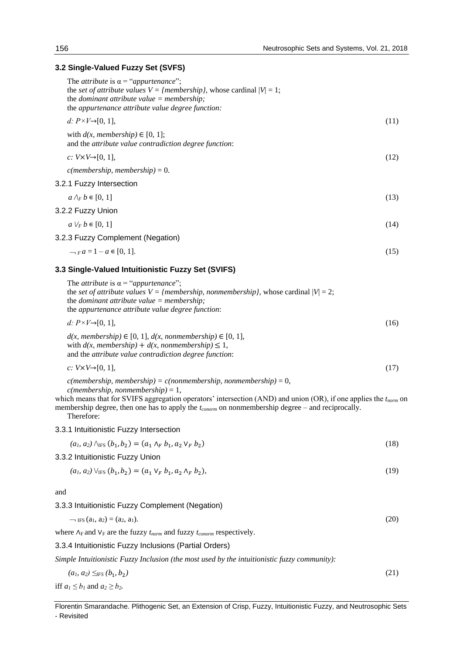## **3.2 Single-Valued Fuzzy Set (SVFS)**

| The <i>attribute</i> is $\alpha$ = " <i>appurtenance</i> ";<br>the set of attribute values $V = \{membership\}$ , whose cardinal $ V  = 1$ ;<br>the <i>dominant</i> attribute value = membership;<br>the appurtenance attribute value degree function:                                                                                                         |      |
|----------------------------------------------------------------------------------------------------------------------------------------------------------------------------------------------------------------------------------------------------------------------------------------------------------------------------------------------------------------|------|
| d: $P \times V \rightarrow [0, 1]$ ,                                                                                                                                                                                                                                                                                                                           | (11) |
| with $d(x,$ membership) $\in [0, 1]$ ;<br>and the attribute value contradiction degree function:                                                                                                                                                                                                                                                               |      |
| c: $V \times V \rightarrow [0, 1]$ ,                                                                                                                                                                                                                                                                                                                           | (12) |
| $c$ (membership, membership) = 0.                                                                                                                                                                                                                                                                                                                              |      |
| 3.2.1 Fuzzy Intersection                                                                                                                                                                                                                                                                                                                                       |      |
| $a \wedge_F b \in [0, 1]$                                                                                                                                                                                                                                                                                                                                      | (13) |
| 3.2.2 Fuzzy Union                                                                                                                                                                                                                                                                                                                                              |      |
| $a \vee_F b \in [0, 1]$                                                                                                                                                                                                                                                                                                                                        | (14) |
| 3.2.3 Fuzzy Complement (Negation)                                                                                                                                                                                                                                                                                                                              |      |
| $-$ <sub>F</sub> $a = 1 - a \in [0, 1].$                                                                                                                                                                                                                                                                                                                       | (15) |
| 3.3 Single-Valued Intuitionistic Fuzzy Set (SVIFS)                                                                                                                                                                                                                                                                                                             |      |
| The <i>attribute</i> is $\alpha$ = " <i>appurtenance</i> ";<br>the set of attribute values $V = \{membership, nonmembership\}$ , whose cardinal $ V  = 2$ ;<br>the <i>dominant</i> attribute value $=$ <i>membership</i> ;<br>the appurtenance attribute value degree function:                                                                                |      |
| d: $P \times V \rightarrow [0, 1]$ ,                                                                                                                                                                                                                                                                                                                           | (16) |
| $d(x, membership) \in [0, 1], d(x, nonmembership) \in [0, 1],$<br>with $d(x,$ membership) + $d(x,$ nonmembership) $\leq 1$ ,<br>and the attribute value contradiction degree function:                                                                                                                                                                         |      |
| c: $V \times V \rightarrow [0, 1]$ ,                                                                                                                                                                                                                                                                                                                           | (17) |
| $c$ (membership, membership) = $c$ (nonmembership, nonmembership) = 0,<br>$c$ (membership, nonmembership) = 1,<br>which means that for SVIFS aggregation operators' intersection (AND) and union (OR), if one applies the $t_{norm}$ on<br>membership degree, then one has to apply the <i>t</i> <sub>conorm</sub> on nonmembership degree – and reciprocally. |      |

Therefore:

3.3.1 Intuitionistic Fuzzy Intersection

$$
(a_1, a_2) \wedge_{\text{IFS}} (b_1, b_2) = (a_1 \wedge_F b_1, a_2 \vee_F b_2) \tag{18}
$$

3.3.2 Intuitionistic Fuzzy Union

$$
(a_1, a_2) \vee_{\text{IFS}} (b_1, b_2) = (a_1 \vee_F b_1, a_2 \wedge_F b_2), \tag{19}
$$

and

3.3.3 Intuitionistic Fuzzy Complement (Negation)

$$
-\text{IF}(a_1, a_2) = (a_2, a_1). \tag{20}
$$

where  $\Lambda$ <sub>F</sub> and  $V$ <sub>F</sub> are the fuzzy *t*<sub>*norm*</sub> and fuzzy *t*<sub>*conorm*</sub> respectively.

3.3.4 Intuitionistic Fuzzy Inclusions (Partial Orders)

*Simple Intuitionistic Fuzzy Inclusion (the most used by the intuitionistic fuzzy community):* 

$$
(a_1, a_2) \leq_{FS} (b_1, b_2) \tag{21}
$$

iff  $a_1 \le b_1$  and  $a_2 \ge b_2$ .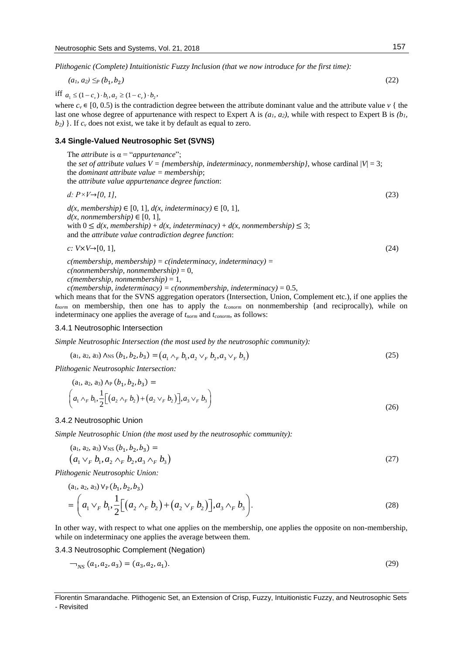*Plithogenic (Complete) Intuitionistic Fuzzy Inclusion (that we now introduce for the first time):*

$$
(a_1, a_2) \leq_P (b_1, b_2) \tag{22}
$$

iff  $a_1 \leq (1 - c_v) \cdot b_1, a_2 \geq (1 - c_v) \cdot b_2$ ,

where  $c_v \in [0, 0.5)$  is the contradiction degree between the attribute dominant value and the attribute value  $v \nvert$  the last one whose degree of appurtenance with respect to Expert A is *(a1, a2)*, while with respect to Expert B is *(b1,*   $b_2$ ) }. If  $c_v$  does not exist, we take it by default as equal to zero.

## **3.4 Single-Valued Neutrosophic Set (SVNS)**

The *attribute* is α = "*appurtenance*"; the *set of attribute values V = {membership, indeterminacy, nonmembership}, whose cardinal*  $|V| = 3$ *;* the *dominant attribute value = membership*; the *attribute value appurtenance degree function*:

\n- $$
d: P \times V \rightarrow [0, 1],
$$
\n- $d(x, membership) \in [0, 1], d(x, indeterminacy) \in [0, 1],$
\n- $d(x, nonmembership) \in [0, 1],$
\n- with  $0 \leq d(x, membership) + d(x, indeterminacy) + d(x, nonmembership) \leq 3;$
\n- and the attribute value contradiction degree function:
\n- $c: V \times V \rightarrow [0, 1],$
\n- $d(x, t) = \frac{1}{2} \times \frac{1}{2} \times \frac{1}{2} \times \frac{1}{2} \times \frac{1}{2} \times \frac{1}{2} \times \frac{1}{2} \times \frac{1}{2} \times \frac{1}{2} \times \frac{1}{2} \times \frac{1}{2} \times \frac{1}{2} \times \frac{1}{2} \times \frac{1}{2} \times \frac{1}{2} \times \frac{1}{2} \times \frac{1}{2} \times \frac{1}{2} \times \frac{1}{2} \times \frac{1}{2} \times \frac{1}{2} \times \frac{1}{2} \times \frac{1}{2} \times \frac{1}{2} \times \frac{1}{2} \times \frac{1}{2} \times \frac{1}{2} \times \frac{1}{2} \times \frac{1}{2} \times \frac{1}{2} \times \frac{1}{2} \times \frac{1}{2} \times \frac{1}{2} \times \frac{1}{2} \times \frac{1}{2} \times \frac{1}{2} \times \frac{1}{2} \times \frac{1}{2} \times \frac{1}{2} \times \frac{1}{2} \times \frac{1}{2} \times \frac{1}{2} \times \frac{1}{2} \times \frac{1}{2} \times \frac{1}{2} \times \frac{1}{2} \times \frac{1}{2} \times \frac{1}{2} \times \frac{1}{2} \times \frac{1}{2} \times \frac{1}{2} \times \frac{1}{2} \times \frac{1}{2} \times \frac{1}{2} \times \frac{1}{2} \times \frac{1}{2} \times \frac{1}{2} \times \frac{1}{2} \times \frac{1}{2} \times \frac{1}{2} \times \frac{1}{2} \times \frac{1}{2} \times \frac{1}{2} \times \frac{$

*c(membership, membership) = c(indeterminacy, indeterminacy) = c(nonmembership, nonmembership)* = 0, *c(membership, nonmembership)* = 1,

 $c$ (*membership, indeterminacy*) =  $c$ (*nonmembership, indeterminacy*) = 0.5,

which means that for the SVNS aggregation operators (Intersection, Union, Complement etc.), if one applies the *tnorm* on membership, then one has to apply the *tconorm* on nonmembership {and reciprocally), while on indeterminacy one applies the average of *tnorm* and *tconorm*, as follows:

## 3.4.1 Neutrosophic Intersection

*Simple Neutrosophic Intersection (the most used by the neutrosophic community):*

$$
(a_1, a_2, a_3) \land_{NS} (b_1, b_2, b_3) = (a_1 \land_F b_1, a_2 \lor_F b_2, a_3 \lor_F b_3)
$$
\n
$$
(25)
$$

*Plithogenic Neutrosophic Intersection:*

$$
(a_1, a_2, a_3) \Lambda_P (b_1, b_2, b_3) =
$$
  
\n
$$
\left( a_1 \wedge_F b_1, \frac{1}{2} \Big[ \big( a_2 \wedge_F b_2 \big) + \big( a_2 \vee_F b_2 \big) \Big], a_3 \vee_F b_3 \right)
$$
\n(26)

#### 3.4.2 Neutrosophic Union

*Simple Neutrosophic Union (the most used by the neutrosophic community):*

$$
(a_1, a_2, a_3) V_{NS} (b_1, b_2, b_3) =(a_1 V_F b_1, a_2 V_F b_2, a_3 V_F b_3)
$$
\n(27)

*Plithogenic Neutrosophic Union:*

$$
(a_1, a_2, a_3) \vee_{P} (b_1, b_2, b_3)
$$
  
=  $\left( a_1 \vee_F b_1, \frac{1}{2} \left[ \left( a_2 \wedge_F b_2 \right) + \left( a_2 \vee_F b_2 \right) \right], a_3 \wedge_F b_3 \right).$  (28)

In other way, with respect to what one applies on the membership, one applies the opposite on non-membership, while on indeterminacy one applies the average between them.

3.4.3 Neutrosophic Complement (Negation)

ing a straight and

$$
I_{NS}(a_1, a_2, a_3) = (a_3, a_2, a_1). \tag{29}
$$

Florentin Smarandache. Plithogenic Set, an Extension of Crisp, Fuzzy, Intuitionistic Fuzzy, and Neutrosophic Sets - Revisited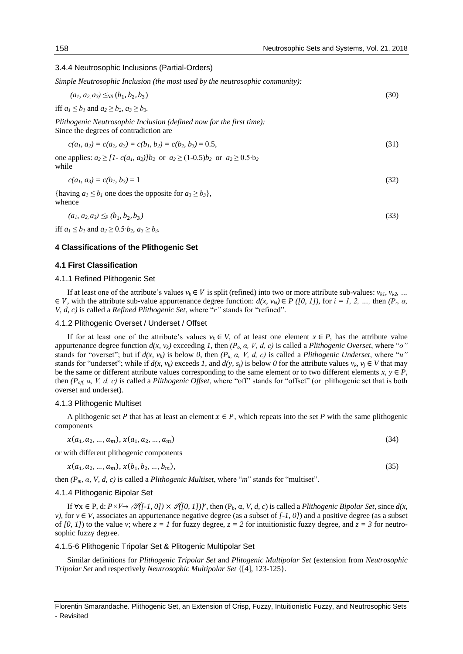## 3.4.4 Neutrosophic Inclusions (Partial-Orders)

*Simple Neutrosophic Inclusion (the most used by the neutrosophic community):*

$$
(a_1, a_2, a_3) \leq_{NS} (b_1, b_2, b_3) \tag{30}
$$

iff  $a_1 \leq b_1$  and  $a_2 \geq b_2$ ,  $a_3 \geq b_3$ .

*Plithogenic Neutrosophic Inclusion (defined now for the first time):* Since the degrees of contradiction are

$$
c(a_1, a_2) = c(a_2, a_3) = c(b_1, b_2) = c(b_2, b_3) = 0.5,
$$
\n(31)

one applies:  $a_2 \geq [1 - c(a_1, a_2)]b_2$  or  $a_2 \geq (1 - 0.5)b_2$  or  $a_2 \geq 0.5 \cdot b_2$ while

$$
c(a_1, a_3) = c(b_1, b_3) = 1 \tag{32}
$$

{having  $a_1 \leq b_1$  one does the opposite for  $a_3 \geq b_3$ }, whence

$$
(a_1, a_2, a_3) \leq_P (b_1, b_2, b_3) \tag{33}
$$

iff *a*<sub>1</sub> ≤ *b*<sub>1</sub> and *a*<sub>2</sub> ≥ 0.5⋅*b*<sub>2</sub>*, a*<sub>3</sub> ≥ *b*<sub>3</sub>*.* 

#### **4 Classifications of the Plithogenic Set**

#### **4.1 First Classification**

#### 4.1.1 Refined Plithogenic Set

If at least one of the attribute's values  $v_k \in V$  is split (refined) into two or more attribute sub-values:  $v_{k1}$ ,  $v_{k2}$ , ...  $\in V$ , with the attribute sub-value appurtenance degree function:  $d(x, v_{ki}) \in P$  ([0, 1]), for  $i = 1, 2, ...,$  then  $(P_r, \alpha, \beta)$ *V, d, c)* is called a *Refined Plithogenic Set*, where "*r*" stands for "refined".

#### 4.1.2 Plithogenic Overset / Underset / Offset

If for at least one of the attribute's values  $v_k \in V$ , of at least one element  $x \in P$ , has the attribute value appurtenance degree function  $d(x, y_k)$  exceeding 1, then  $(P_0, \alpha, V, d, c)$  is called a *Plithogenic Overset*, where "*o*" stands for "overset"; but if  $d(x, v_k)$  is below 0, then  $(P_u, a, V, d, c)$  is called a *Plithogenic Underset*, where "*u*" stands for "underset"; while if  $d(x, v_k)$  exceeds *1*, and  $d(y, s_i)$  is below *0* for the attribute values  $v_k, v_i \in V$  that may be the same or different attribute values corresponding to the same element or to two different elements  $x, y \in P$ , then *(Poff, α, V, d, c)* is called a *Plithogenic Offset*, where "off" stands for "offset" (or plithogenic set that is both overset and underset).

#### 4.1.3 Plithogenic Multiset

A plithogenic set P that has at least an element  $x \in P$ , which repeats into the set P with the same plithogenic components

$$
x(a_1, a_2, \dots, a_m), x(a_1, a_2, \dots, a_m)
$$
\n(34)

or with different plithogenic components

 $x(a_1, a_2, ..., a_m), x(b_1, b_2)$  $, ..., b_m$ , (35)

then *(Pm, α, V, d, c)* is called a *Plithogenic Multiset*, where "*m*" stands for "multiset".

#### 4.1.4 Plithogenic Bipolar Set

If  $\forall x \in P$ , d:  $P \times V \rightarrow \mathscr{F}([-1, 0]) \times \mathscr{F}([0, 1])^z$ , then  $(P_b, \alpha, V, d, c)$  is called a *Plithogenic Bipolar Set*, since  $d(x, \beta)$ *v*), for  $v \in V$ , associates an appurtenance negative degree (as a subset of  $[-1, 0]$ ) and a positive degree (as a subset of  $[0, 1]$ ) to the value *v*; where  $z = 1$  for fuzzy degree,  $z = 2$  for intuitionistic fuzzy degree, and  $z = 3$  for neutrosophic fuzzy degree.

#### 4.1.5-6 Plithogenic Tripolar Set & Plitogenic Multipolar Set

Similar definitions for *Plithogenic Tripolar Set* and *Plitogenic Multipolar Set* (extension from *Neutrosophic Tripolar Set* and respectively *Neutrosophic Multipolar Set* {[4], 123-125}.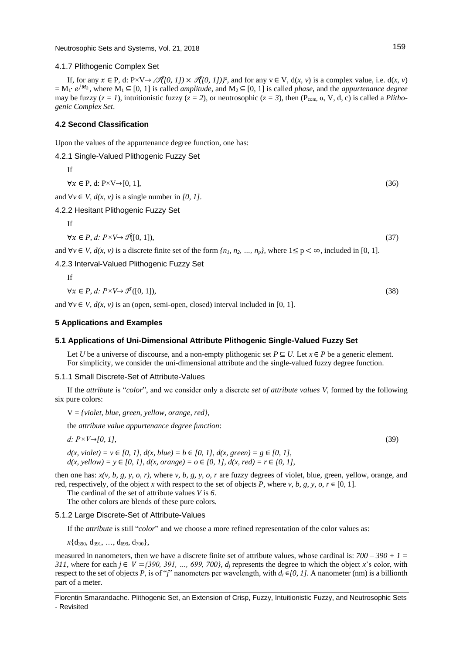4.1.7 Plithogenic Complex Set

If, for any  $x \in P$ , d:  $P \times V \rightarrow \mathcal{A}[0, 1] \times \mathcal{A}[0, 1])^z$ , and for any  $v \in V$ ,  $d(x, v)$  is a complex value, i.e.  $d(x, v)$ = M1∙ 2, where M<sup>1</sup> ⊆ [0, 1] is called *amplitude*, and M<sup>2</sup> ⊆ [0, 1] is called *phase*, and the *appurtenance degree* may be fuzzy ( $z = 1$ ), intuitionistic fuzzy ( $z = 2$ ), or neutrosophic ( $z = 3$ ), then (P<sub>com,</sub>  $\alpha$ , V, d, c) is called a *Plithogenic Complex Set*.

## **4.2 Second Classification**

Upon the values of the appurtenance degree function, one has:

4.2.1 Single-Valued Plithogenic Fuzzy Set

If

 $\forall x \in P, d: P \times V \rightarrow [0, 1],$  (36)

and  $\forall v \in V$ ,  $d(x, v)$  is a single number in [0, 1].

4.2.2 Hesitant Plithogenic Fuzzy Set

If

 $\forall x \in P, d: P \times V \rightarrow \mathcal{P}([0, 1]),$  (37)

and  $\forall v \in V$ ,  $d(x, v)$  is a discrete finite set of the form  $\{n_1, n_2, ..., n_p\}$ , where  $1 \leq p < \infty$ , included in [0, 1].

4.2.3 Interval-Valued Plithogenic Fuzzy Set

If  $\forall x \in P, d: P \times V \rightarrow \mathcal{P}([0, 1]),$  (38)

and  $\forall v \in V$ ,  $d(x, v)$  is an (open, semi-open, closed) interval included in [0, 1].

#### **5 Applications and Examples**

## **5.1 Applications of Uni-Dimensional Attribute Plithogenic Single-Valued Fuzzy Set**

Let *U* be a universe of discourse, and a non-empty plithogenic set  $P \subseteq U$ . Let  $x \in P$  be a generic element. For simplicity, we consider the uni-dimensional attribute and the single-valued fuzzy degree function.

#### 5.1.1 Small Discrete-Set of Attribute-Values

If the *attribute* is "*color*", and we consider only a discrete *set of attribute values V*, formed by the following six pure colors:

V = *{violet, blue, green, yellow, orange, red},*

the *attribute value appurtenance degree function*:

*d: P×V→[0, 1],* (39) *d*(*x*, *violet*) = *v* ∈ *[0, 1], d*(*x, blue*) = *b* ∈ *[0, 1], d*(*x, green*) = *g* ∈ *[0, 1],* 

*d*(*x*, *yellow*) = *y* ∈ *[0, 1], d*(*x, orange*) = *o* ∈ *[0, 1], d*(*x, red*) = *r* ∈ *[0, 1]*,

then one has: *x(v, b, g, y, o, r),* where *v, b, g, y, o, r* are fuzzy degrees of violet, blue, green, yellow, orange, and red, respectively, of the object *x* with respect to the set of objects *P*, where *v*, *b*, *g*, *y*, *o*,  $r \in [0, 1]$ .

The cardinal of the set of attribute values *V* is *6*.

The other colors are blends of these pure colors.

## 5.1.2 Large Discrete-Set of Attribute-Values

If the *attribute* is still "*color*" and we choose a more refined representation of the color values as:

 $x\{d_{390}, d_{391}, ..., d_{699}, d_{700}\},$ 

measured in nanometers, then we have a discrete finite set of attribute values, whose cardinal is: *700 – 390 + 1 = 311, where for each*  $j \in V = \{390, 391, ..., 699, 700\}$ *,*  $d_j$  *represents the degree to which the object <i>x*'s color, with respect to the set of objects *P,* is of "*j*" nanometers per wavelength*,* with *d<sup>i</sup>* ∊*[0, 1].* A nanometer (nm) is a billionth part of a meter.

Florentin Smarandache. Plithogenic Set, an Extension of Crisp, Fuzzy, Intuitionistic Fuzzy, and Neutrosophic Sets - Revisited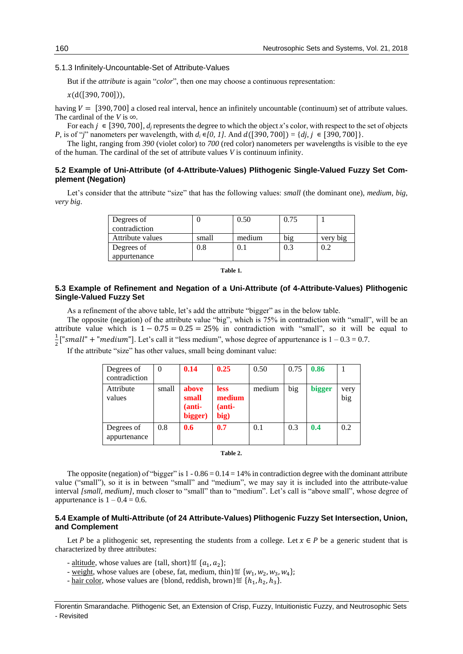## 5.1.3 Infinitely-Uncountable-Set of Attribute-Values

But if the *attribute* is again "*color*", then one may choose a continuous representation:

 $x(d([390, 700]))$ ,

having  $V = [390, 700]$  a closed real interval, hence an infinitely uncountable (continuum) set of attribute values. The cardinal of the *V* is ∞.

For each  $j \in [390, 700]$ ,  $d_i$  represents the degree to which the object *x*'s color, with respect to the set of objects *P*, is of "*j*" nanometers per wavelength, with  $d_i \in [0, 1]$ . And  $d([390, 700]) = {di, i \in [390, 700]}$ .

The light, ranging from *390* (violet color) to *700* (red color) nanometers per wavelengths is visible to the eye of the human. The cardinal of the set of attribute values *V* is continuum infinity.

## **5.2 Example of Uni-Attribute (of 4-Attribute-Values) Plithogenic Single-Valued Fuzzy Set Complement (Negation)**

Let's consider that the attribute "size" that has the following values: *small* (the dominant one), *medium*, *big*, *very big*.

| Degrees of       |         | 0.50   | 0.75 |          |
|------------------|---------|--------|------|----------|
| contradiction    |         |        |      |          |
| Attribute values | small   | medium | big  | very big |
| Degrees of       | $0.8\,$ | 0.1    | 0.3  | 0.2      |
| appurtenance     |         |        |      |          |

#### **Table 1***.*

## **5.3 Example of Refinement and Negation of a Uni-Attribute (of 4-Attribute-Values) Plithogenic Single-Valued Fuzzy Set**

As a refinement of the above table, let's add the attribute "bigger" as in the below table.

The opposite (negation) of the attribute value "big", which is 75% in contradiction with "small", will be an attribute value which is  $1 - 0.75 = 0.25 = 25\%$  in contradiction with "small", so it will be equal to 1  $\frac{1}{2}$  ["small" + "medium"]. Let's call it "less medium", whose degree of appurtenance is  $1 - 0.3 = 0.7$ .

If the attribute "size" has other values, small being dominant value:

| Degrees of<br>contradiction | $\Omega$ | 0.14                                | 0.25                                    | 0.50   | 0.75 | 0.86          |             |
|-----------------------------|----------|-------------------------------------|-----------------------------------------|--------|------|---------------|-------------|
| Attribute<br>values         | small    | above<br>small<br>(anti-<br>bigger) | <b>less</b><br>medium<br>(anti-<br>big) | medium | big  | <b>bigger</b> | very<br>big |
| Degrees of<br>appurtenance  | 0.8      | 0.6                                 | 0.7                                     | 0.1    | 0.3  | 0.4           | 0.2         |

#### **Table 2.**

The opposite (negation) of "bigger" is  $1 - 0.86 = 0.14 = 14\%$  in contradiction degree with the dominant attribute value ("small"), so it is in between "small" and "medium", we may say it is included into the attribute-value interval [small, medium], much closer to "small" than to "medium". Let's call is "above small", whose degree of appurtenance is  $1 - 0.4 = 0.6$ .

## **5.4 Example of Multi-Attribute (of 24 Attribute-Values) Plithogenic Fuzzy Set Intersection, Union, and Complement**

Let P be a plithogenic set, representing the students from a college. Let  $x \in P$  be a generic student that is characterized by three attributes:

- <u>altitude</u>, whose values are {tall, short}≝  $\{a_1, a_2\}$ ;
- <u>weight</u>, whose values are {obese, fat, medium, thin}≝ { $w_1, w_2, w_3, w_4$ };
- <u>hair color</u>, whose values are {blond, reddish, brown}≝  $\{h_1, h_2, h_3\}$ .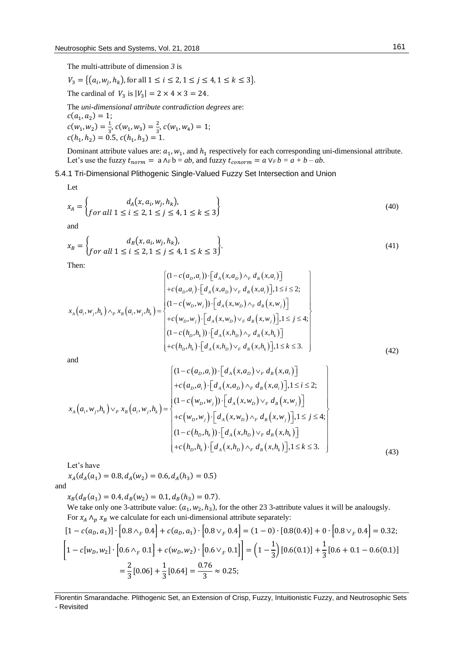The multi-attribute of dimension *3* is

 $V_3 = \{(a_i, w_j, h_k)$ , for all  $1 \le i \le 2, 1 \le j \le 4, 1 \le k \le 3\}.$ 

The cardinal of  $V_3$  is  $|V_3| = 2 \times 4 \times 3 = 24$ .

The *uni-dimensional attribute contradiction degrees* are:  $c(a_1, a_2) = 1;$  $c(w_1, w_2) = \frac{1}{3}$  $\frac{1}{3}$ ,  $c(w_1, w_3) = \frac{2}{3}$  $\frac{2}{3}$ ,  $c(w_1, w_4) = 1$ ;  $c(h_1, h_2) = 0.5, c(h_1, h_3) = 1.$ 

Dominant attribute values are:  $a_1$ ,  $w_1$ , and  $h_1$  respectively for each corresponding uni-dimensional attribute. Let's use the fuzzy  $t_{norm} = a \wedge_F b = ab$ , and fuzzy  $t_{conorm} = a \vee_F b = a + b - ab$ .

5.4.1 Tri-Dimensional Plithogenic Single-Valued Fuzzy Set Intersection and Union

Let

$$
x_A = \begin{cases} d_A(x, a_i, w_j, h_k), \\ \text{for all } 1 \le i \le 2, 1 \le j \le 4, 1 \le k \le 3 \end{cases}
$$
 (40)

and

$$
x_B = \begin{cases} d_B(x, a_i, w_j, h_k), \\ \text{for all } 1 \le i \le 2, 1 \le j \le 4, 1 \le k \le 3 \end{cases} \tag{41}
$$

Then:

$$
x_{A}(a_{i}, w_{j}, h_{k}) \wedge_{P} x_{B}(a_{i}, w_{j}, h_{k}) = \begin{cases} (1 - c(a_{D}, a_{i})) \cdot [d_{A}(x, a_{D}) \wedge_{F} d_{B}(x, a_{i})] \\ + c(a_{D}, a_{i}) \cdot [d_{A}(x, a_{D}) \vee_{F} d_{B}(x, a_{i})], 1 \leq i \leq 2; \\ (1 - c(w_{D}, w_{j})) \cdot [d_{A}(x, w_{D}) \wedge_{F} d_{B}(x, w_{j})] \\ + c(w_{D}, w_{j}) \cdot [d_{A}(x, w_{D}) \vee_{F} d_{B}(x, w_{j})], 1 \leq j \leq 4; \\ (1 - c(h_{D}, h_{k})) \cdot [d_{A}(x, h_{D}) \wedge_{F} d_{B}(x, h_{k})] \\ + c(h_{D}, h_{k}) \cdot [d_{A}(x, h_{D}) \vee_{F} d_{B}(x, h_{k})], 1 \leq k \leq 3. \end{cases}
$$
\n
$$
(42)
$$

and

$$
x_{A}(a_{i}, w_{j}, h_{k}) \vee_{P} x_{B}(a_{i}, w_{j}, h_{k}) = \begin{cases} (1 - c(a_{D}, a_{i})) \cdot \left[ d_{A}(x, a_{D}) \vee_{F} d_{B}(x, a_{i}) \right] \\ + c(a_{D}, a_{i}) \cdot \left[ d_{A}(x, a_{D}) \wedge_{F} d_{B}(x, a_{i}) \right], 1 \leq i \leq 2; \\ (1 - c(w_{D}, w_{j})) \cdot \left[ d_{A}(x, w_{D}) \vee_{F} d_{B}(x, w_{j}) \right] \\ + c(w_{D}, w_{j}) \cdot \left[ d_{A}(x, w_{D}) \wedge_{F} d_{B}(x, w_{j}) \right], 1 \leq j \leq 4; \\ (1 - c(h_{D}, h_{k})) \cdot \left[ d_{A}(x, h_{D}) \vee_{F} d_{B}(x, h_{k}) \right] \\ + c(h_{D}, h_{k}) \cdot \left[ d_{A}(x, h_{D}) \wedge_{F} d_{B}(x, h_{k}) \right], 1 \leq k \leq 3. \end{cases}
$$
(43)

Let's have

 $x_A(d_A(a_1) = 0.8, d_A(w_2) = 0.6, d_A(h_3) = 0.5)$ and

 $x_B(d_B(a_1) = 0.4, d_B(w_2) = 0.1, d_B(h_3) = 0.7).$ 

We take only one 3-attribute value:  $(a_1, w_2, h_3)$ , for the other 23 3-attribute values it will be analougsly. For  $x_A \wedge_p x_B$  we calculate for each uni-dimensional attribute separately:

$$
[1 - c(a_D, a_1)] \cdot [0.8 \wedge_F 0.4] + c(a_D, a_1) \cdot [0.8 \vee_F 0.4] = (1 - 0) \cdot [0.8(0.4)] + 0 \cdot [0.8 \vee_F 0.4] = 0.32;
$$
  

$$
\left[1 - c[w_D, w_2] \cdot [0.6 \wedge_F 0.1] + c(w_D, w_2) \cdot [0.6 \vee_F 0.1]\right] = \left(1 - \frac{1}{3}\right)[0.6(0.1)] + \frac{1}{3}[0.6 + 0.1 - 0.6(0.1)]
$$
  

$$
= \frac{2}{3}[0.06] + \frac{1}{3}[0.64] = \frac{0.76}{3} \approx 0.25;
$$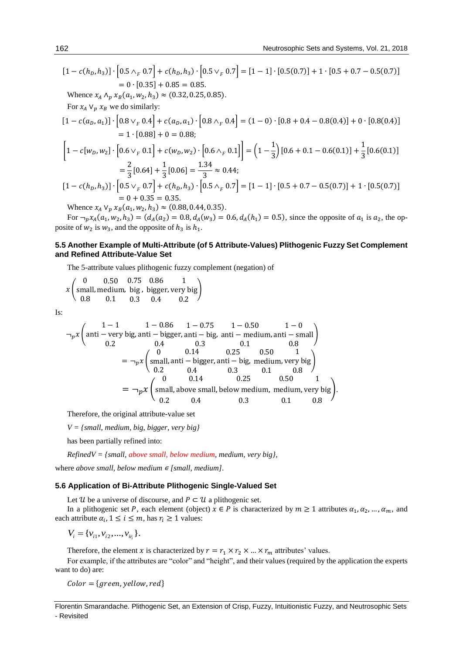$$
[1 - c(h_D, h_3)] \cdot [0.5 \wedge_F 0.7] + c(h_D, h_3) \cdot [0.5 \vee_F 0.7] = [1 - 1] \cdot [0.5(0.7)] + 1 \cdot [0.5 + 0.7 - 0.5(0.7)]
$$
  
\n= 0 · [0.35] + 0.85 = 0.85.  
\nWhence  $x_A \wedge_p x_B (a_1, w_2, h_3) \approx (0.32, 0.25, 0.85)$ .  
\nFor  $x_A \vee_p x_B$  we do similarly:  
\n
$$
[1 - c(a_D, a_1)] \cdot [0.8 \vee_F 0.4] + c(a_D, a_1) \cdot [0.8 \wedge_F 0.4] = (1 - 0) \cdot [0.8 + 0.4 - 0.8(0.4)] + 0 \cdot [0.8(0.4)]
$$
  
\n= 1 · [0.88] + 0 = 0.88;  
\n
$$
\left[1 - c[w_D, w_2] \cdot [0.6 \vee_F 0.1] + c(w_D, w_2) \cdot [0.6 \wedge_F 0.1]\right] = \left(1 - \frac{1}{3}\right)[0.6 + 0.1 - 0.6(0.1)] + \frac{1}{3}[0.6(0.1)]
$$
  
\n=  $\frac{2}{3}[0.64] + \frac{1}{3}[0.06] = \frac{1.34}{3} \approx 0.44$ ;  
\n
$$
[1 - c(h_D, h_3)] \cdot [0.5 \vee_F 0.7] + c(h_D, h_3) \cdot [0.5 \wedge_F 0.7] = [1 - 1] \cdot [0.5 + 0.7 - 0.5(0.7)] + 1 \cdot [0.5(0.7)]
$$
  
\n= 0 + 0.35 = 0.35.  
\nWhence  $x_A \vee_p x_B(a_1, w_2, h_3) \approx (0.88, 0.44, 0.35)$ .  
\nFor  $- x_A (a_1, w_B) - (d_A (a_1) - 0.8 d_B (w_1) - 0.6 d_B (h_1) - 0.5)$  since the opposite of a, is a, the point

For  $\neg_p x_A(a_1, w_2, h_3) = (d_A(a_2) = 0.8, d_A(w_3) = 0.6, d_A(h_1) = 0.5)$ , since the opposite of  $a_1$  is  $a_2$ , the opposite of  $w_2$  is  $w_3$ , and the opposite of  $h_3$  is  $h_1$ .

## **5.5 Another Example of Multi-Attribute (of 5 Attribute-Values) Plithogenic Fuzzy Set Complement and Refined Attribute-Value Set**

The 5-attribute values plithogenic fuzzy complement (negation) of

$$
x \begin{pmatrix} 0 & 0.50 & 0.75 & 0.86 & 1 \\ small, medium, big, bigger, very big \\ 0.8 & 0.1 & 0.3 & 0.4 & 0.2 \end{pmatrix}
$$

Is:

$$
\neg_p x \left( \text{anti - very big, anti - bigger, anti - big, anti - medium, anti - small}) \right)
$$
  
\n
$$
0.2 \qquad 0.4 \qquad 0.3 \qquad 0.1 \qquad 0.8
$$
  
\n
$$
= \neg_p x \left( \text{small, anti - bigger, anti - big, anti - medium, anti - small}) \right)
$$
  
\n
$$
= \neg_p x \left( \text{small, anti - bigger, anti - big, medium, very big}) \right)
$$
  
\n
$$
0.2 \qquad 0.4 \qquad 0.3 \qquad 0.1 \qquad 0.8
$$
  
\n
$$
0.2 \qquad 0.4 \qquad 0.3 \qquad 0.1 \qquad 0.8
$$
  
\n
$$
= \neg_p x \left( \text{small, above small, below medium, medium, very big} \right).
$$
  
\n
$$
0.2 \qquad 0.4 \qquad 0.3 \qquad 0.1 \qquad 0.8
$$

Therefore, the original attribute-value set

*V = {small, medium, big, bigger, very big}*

has been partially refined into:

*RefinedV = {small, above small, below medium, medium, very big},*

where *above small, below medium ∈ [small, medium]*.

## **5.6 Application of Bi-Attribute Plithogenic Single-Valued Set**

Let  $\mathcal U$  be a universe of discourse, and  $P \subset \mathcal U$  a plithogenic set.

In a plithogenic set P, each element (object)  $x \in P$  is characterized by  $m \ge 1$  attributes  $\alpha_1, \alpha_2, ..., \alpha_m$ , and each attribute  $\alpha_i$ ,  $1 \le i \le m$ , has  $r_i \ge 1$  values:

 $V_i = \{v_{i1}, v_{i2}, ..., v_{i_i}\}.$ 

Therefore, the element *x* is characterized by  $r = r_1 \times r_2 \times ... \times r_m$  attributes' values.

For example, if the attributes are "color" and "height", and their values (required by the application the experts want to do) are:

 $Color = {green, yellow, red}$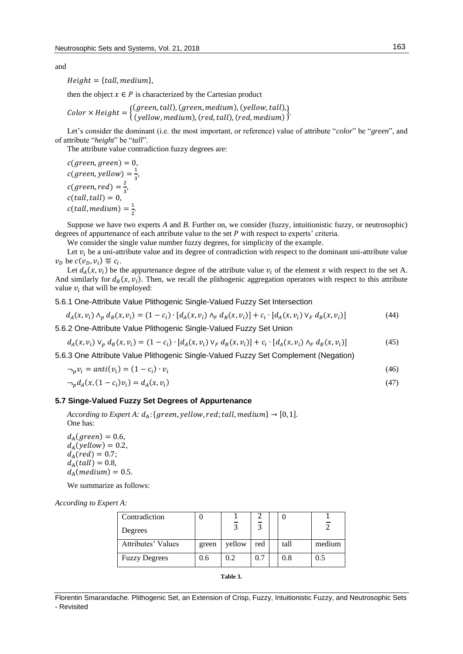and

 $Height = \{ tall, medium\},$ 

then the object  $x \in P$  is characterized by the Cartesian product

 $Color \times Height = \{(green, tall), (green, medium), (yellow, tall),\$  $(y$ ellow, medium),  $(\text{red}, \text{tall})$ ,  $(\text{red}, \text{medium})$ 

Let's consider the dominant (i.e. the most important, or reference) value of attribute "*color*" be "*green*", and of attribute "*height*" be "*tall*".

The attribute value contradiction fuzzy degrees are:

 $c(green, green) = 0,$  $c(green, yellow) = \frac{1}{2}$  $\frac{1}{3}$  $c(green, red) = \frac{2}{3}$  $\frac{2}{3}$  $c(tall, tall) = 0,$  $c(tall, medium) = \frac{1}{2}$  $\frac{1}{2}$ .

Suppose we have two experts *A* and *B*. Further on, we consider (fuzzy, intuitionistic fuzzy, or neutrosophic) degrees of appurtenance of each attribute value to the set  $P$  with respect to experts' criteria.

We consider the single value number fuzzy degrees, for simplicity of the example.

Let  $v_i$  be a uni-attribute value and its degree of contradiction with respect to the dominant uni-attribute value  $v_D$  be  $c(v_D, v_i) \stackrel{\text{def}}{=} c_i$ .

Let  $d_A(x, v_i)$  be the appurtenance degree of the attribute value  $v_i$  of the element x with respect to the set A. And similarly for  $d_B(x, v_i)$ . Then, we recall the plithogenic aggregation operators with respect to this attribute value  $v_i$  that will be employed:

5.6.1 One-Attribute Value Plithogenic Single-Valued Fuzzy Set Intersection

$$
d_A(x, v_i) \wedge_p d_B(x, v_i) = (1 - c_i) \cdot [d_A(x, v_i) \wedge_F d_B(x, v_i)] + c_i \cdot [d_A(x, v_i) \vee_F d_B(x, v_i)] \tag{44}
$$

5.6.2 One-Attribute Value Plithogenic Single-Valued Fuzzy Set Union

$$
d_A(x, v_i) \vee_p d_B(x, v_i) = (1 - c_i) \cdot [d_A(x, v_i) \vee_F d_B(x, v_i)] + c_i \cdot [d_A(x, v_i) \wedge_F d_B(x, v_i)] \tag{45}
$$

5.6.3 One Attribute Value Plithogenic Single-Valued Fuzzy Set Complement (Negation)

$$
\neg_p v_i = anti(v_i) = (1 - c_i) \cdot v_i \tag{46}
$$

$$
\neg_p d_A(x, (1 - c_i)v_i) = d_A(x, v_i) \tag{47}
$$

## **5.7 Singe-Valued Fuzzy Set Degrees of Appurtenance**

*According to Expert A:*  $d_A$ : {green, yellow, red; tall, medium}  $\rightarrow$  [0, 1]. One has:

 $d_A(green) = 0.6,$  $d_{\rm A}(yellow) = 0.2,$  $d_{A} (red) = 0.7;$  $d_A(tall) = 0.8,$  $d_A$ (medium) = 0.5.

We summarize as follows:

*According to Expert A:*

| Contradiction        |       |        |        |      |        |
|----------------------|-------|--------|--------|------|--------|
| Degrees              |       |        | $\sim$ |      |        |
| Attributes' Values   | green | yellow | red    | tall | medium |
| <b>Fuzzy Degrees</b> | 0.6   | 0.2    | 0.7    | 0.8  | 0.5    |

```
Table 3.
```
Florentin Smarandache. Plithogenic Set, an Extension of Crisp, Fuzzy, Intuitionistic Fuzzy, and Neutrosophic Sets - Revisited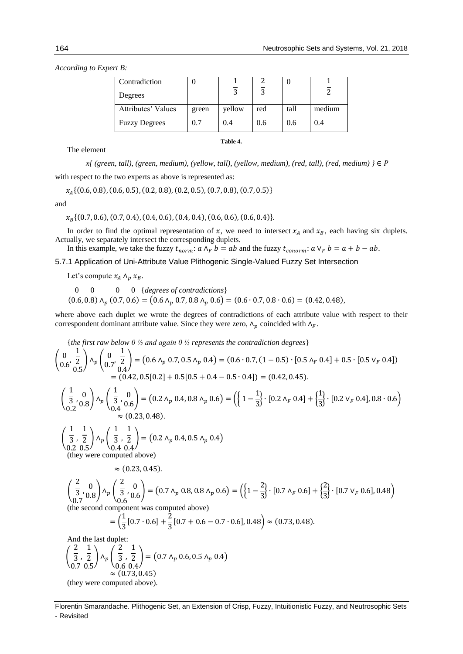*According to Expert B:*

| Contradiction        |       |        |                |      |        |
|----------------------|-------|--------|----------------|------|--------|
| Degrees              |       |        | $\overline{z}$ |      |        |
| Attributes' Values   | green | yellow | red            | tall | medium |
| <b>Fuzzy Degrees</b> | 0.7   | 0.4    | 0.6            | 0.6  | 0.4    |

The element

*x{ (green, tall), (green, medium), (yellow, tall), (yellow, medium), (red, tall), (red, medium) }* ∈ with respect to the two experts as above is represented as:

 $x_{A}$ {(0.6, 0.8), (0.6, 0.5), (0.2, 0.8), (0.2, 0.5), (0.7, 0.8), (0.7, 0.5)}

and

 $x_{B}$ {(0.7, 0.6), (0.7, 0.4), (0.4, 0.6), (0.4, 0.4), (0.6, 0.6), (0.6, 0.4)}.

In order to find the optimal representation of x, we need to intersect  $x_A$  and  $x_B$ , each having six duplets. Actually, we separately intersect the corresponding duplets.

In this example, we take the fuzzy  $t_{norm}$ :  $a \wedge_F b = ab$  and the fuzzy  $t_{conorm}$ :  $a \vee_F b = a + b - ab$ .

5.7.1 Application of Uni-Attribute Value Plithogenic Single-Valued Fuzzy Set Intersection

Let's compute  $x_A \wedge_p x_B$ .

 0 0 0 0 {*degrees of contradictions*}  $(0.6, 0.8) \wedge_p (0.7, 0.6) = (0.6 \wedge_p 0.7, 0.8 \wedge_p 0.6) = (0.6 \cdot 0.7, 0.8 \cdot 0.6) = (0.42, 0.48)$ 

where above each duplet we wrote the degrees of contradictions of each attribute value with respect to their correspondent dominant attribute value. Since they were zero,  $\Lambda_p$  coincided with  $\Lambda_F$ .

{the first raw below 0 % and again 0 % represents the contradiction degrees}  
\n
$$
\begin{pmatrix}\n0 & \frac{1}{2} \\
0.6' & \frac{1}{2}\n\end{pmatrix}\n\wedge_{p}\n\begin{pmatrix}\n0 & \frac{1}{2} \\
0.7' & \frac{1}{2}\n\end{pmatrix} = (0.6 \wedge_{p} 0.7, 0.5 \wedge_{p} 0.4) = (0.6 \cdot 0.7, (1 - 0.5) \cdot [0.5 \wedge_{F} 0.4] + 0.5 \cdot [0.5 \vee_{F} 0.4])
$$
\n= (0.42, 0.5[0.2] + 0.5[0.5 + 0.4 - 0.5 \cdot 0.4]) = (0.42, 0.45).  
\n
$$
\begin{pmatrix}\n\frac{1}{3} & 0 \\
0.2' & 0.8\n\end{pmatrix}\n\wedge_{p}\n\begin{pmatrix}\n\frac{1}{3} & 0 \\
0.4' & 0.6\n\end{pmatrix} = (0.2 \wedge_{p} 0.4, 0.8 \wedge_{p} 0.6) = (\left\{1 - \frac{1}{3}\right\} \cdot [0.2 \wedge_{F} 0.4] + \left\{\frac{1}{3}\right\} \cdot [0.2 \vee_{F} 0.4], 0.8 \cdot 0.6)
$$
\n
$$
\approx (0.23, 0.48).
$$
\n
$$
\begin{pmatrix}\n\frac{1}{3} & \frac{1}{2} \\
\frac{1}{3} & \frac{1}{2}\n\end{pmatrix}\n\wedge_{p}\n\begin{pmatrix}\n\frac{1}{3} & \frac{1}{2} \\
\frac{1}{3} & \frac{1}{2}\n\end{pmatrix} = (0.2 \wedge_{p} 0.4, 0.5 \wedge_{p} 0.4)
$$
\n(they were computed above)  
\n
$$
\approx (0.23, 0.45).
$$
\n
$$
\begin{pmatrix}\n\frac{2}{3} & 0 \\
0.7 & 0.8\n\end{pmatrix}\n\wedge_{p}\n\begin{pmatrix}\n\frac{2}{3} & 0 \\
0.6 & 0.6\n\end{pmatrix} = (0.7 \wedge_{p} 0.8, 0.8 \wedge_{p} 0.6) = (\left\{1 - \frac{2}{3}\right
$$

(they were computed above).

Florentin Smarandache. Plithogenic Set, an Extension of Crisp, Fuzzy, Intuitionistic Fuzzy, and Neutrosophic Sets - Revisited

**Table 4.**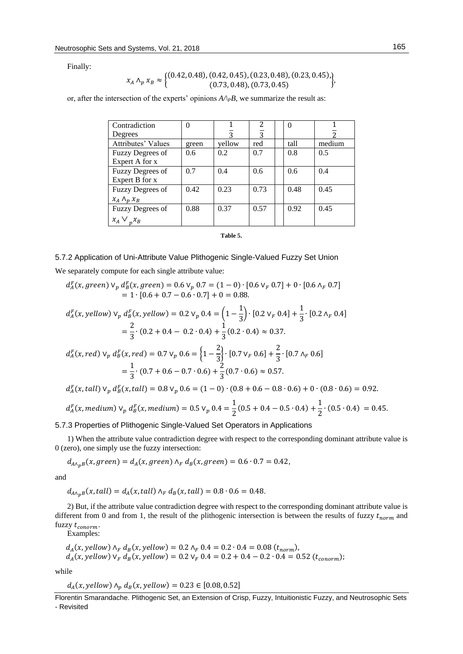Finally:

$$
x_A \wedge_p x_B \approx \begin{cases} (0.42, 0.48), (0.42, 0.45), (0.23, 0.48), (0.23, 0.45), \\ (0.73, 0.48), (0.73, 0.45) \end{cases}
$$

or, after the intersection of the experts' opinions  $A/\gamma B$ , we summarize the result as:

| Contradiction            | $\Omega$      |               |      | 0    |        |
|--------------------------|---------------|---------------|------|------|--------|
| Degrees                  |               | $\mathbf{z}$  | 3    |      |        |
| Attributes' Values       | green         | yellow        | red  | tall | medium |
| <b>Fuzzy Degrees of</b>  | $0.6^{\circ}$ | $0.2^{\circ}$ | 0.7  | 0.8  | 0.5    |
| Expert A for x           |               |               |      |      |        |
| Fuzzy Degrees of         | 0.7           | 0.4           | 0.6  | 0.6  | 0.4    |
| Expert B for x           |               |               |      |      |        |
| Fuzzy Degrees of         | 0.42          | 0.23          | 0.73 | 0.48 | 0.45   |
| $x_A \wedge_p x_B$       |               |               |      |      |        |
| Fuzzy Degrees of         | 0.88          | 0.37          | 0.57 | 0.92 | 0.45   |
| $x_A \vee$<br>$v^{\chi}$ |               |               |      |      |        |

#### **Table 5.**

## 5.7.2 Application of Uni-Attribute Value Plithogenic Single-Valued Fuzzy Set Union

We separately compute for each single attribute value:

$$
d_A^F(x, green) \vee_p d_B^F(x, green) = 0.6 \vee_p 0.7 = (1 - 0) \cdot [0.6 \vee_p 0.7] + 0 \cdot [0.6 \wedge_p 0.7]
$$
  
= 1 \cdot [0.6 + 0.7 - 0.6 \cdot 0.7] + 0 = 0.88.

$$
d_A^F(x, yellow) \vee_p d_B^F(x, yellow) = 0.2 \vee_p 0.4 = \left(1 - \frac{1}{3}\right) \cdot [0.2 \vee_p 0.4] + \frac{1}{3} \cdot [0.2 \wedge_p 0.4]
$$
  
=  $\frac{2}{3} \cdot (0.2 + 0.4 - 0.2 \cdot 0.4) + \frac{1}{3} (0.2 \cdot 0.4) \approx 0.37.$ 

$$
d_A^F(x, red) \vee_p d_B^F(x, red) = 0.7 \vee_p 0.6 = \left\{1 - \frac{2}{3}\right\} \cdot [0.7 \vee_p 0.6] + \frac{2}{3} \cdot [0.7 \wedge_p 0.6]
$$

$$
= \frac{1}{3} \cdot (0.7 + 0.6 - 0.7 \cdot 0.6) + \frac{2}{3} (0.7 \cdot 0.6) \approx 0.57.
$$

$$
d_A^F(x, tall) \vee_p d_B^F(x, tall) = 0.8 \vee_p 0.6 = (1-0) \cdot (0.8 + 0.6 - 0.8 \cdot 0.6) + 0 \cdot (0.8 \cdot 0.6) = 0.92.
$$

$$
d_A^F(x, medium) \vee_p d_B^F(x, medium) = 0.5 \vee_p 0.4 = \frac{1}{2}(0.5 + 0.4 - 0.5 \cdot 0.4) + \frac{1}{2} \cdot (0.5 \cdot 0.4) = 0.45.
$$

5.7.3 Properties of Plithogenic Single-Valued Set Operators in Applications

1) When the attribute value contradiction degree with respect to the corresponding dominant attribute value is 0 (zero), one simply use the fuzzy intersection:

 $d_{A\wedge_p B}(x, green) = d_{A}(x, green) \wedge_F d_{B}(x, green) = 0.6 \cdot 0.7 = 0.42,$ 

and

 $d_{A\wedge_{p}B}(x, tall) = d_{A}(x, tall) \wedge_{F} d_{B}(x, tall) = 0.8 \cdot 0.6 = 0.48.$ 

2) But, if the attribute value contradiction degree with respect to the corresponding dominant attribute value is different from 0 and from 1, the result of the plithogenic intersection is between the results of fuzzy  $t_{norm}$  and fuzzy  $t_{conorm}$ .

Examples:

$$
d_A(x, yellow) \wedge_F d_B(x, yellow) = 0.2 \wedge_F 0.4 = 0.2 \cdot 0.4 = 0.08 (t_{norm}),
$$
  

$$
d_A(x, yellow) \vee_F d_B(x, yellow) = 0.2 \vee_F 0.4 = 0.2 + 0.4 - 0.2 \cdot 0.4 = 0.52 (t_{conorm});
$$

while

$$
d_A(x, yellow) \wedge_p d_B(x, yellow) = 0.23 \in [0.08, 0.52]
$$

Florentin Smarandache. Plithogenic Set, an Extension of Crisp, Fuzzy, Intuitionistic Fuzzy, and Neutrosophic Sets - Revisited